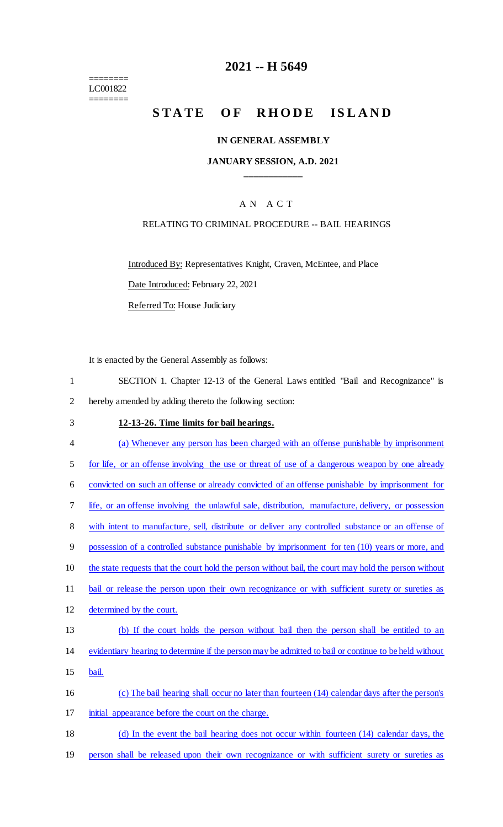======== LC001822 ========

### **2021 -- H 5649**

# STATE OF RHODE ISLAND

#### **IN GENERAL ASSEMBLY**

#### **JANUARY SESSION, A.D. 2021 \_\_\_\_\_\_\_\_\_\_\_\_**

### A N A C T

#### RELATING TO CRIMINAL PROCEDURE -- BAIL HEARINGS

Introduced By: Representatives Knight, Craven, McEntee, and Place

Date Introduced: February 22, 2021

Referred To: House Judiciary

It is enacted by the General Assembly as follows:

- 1 SECTION 1. Chapter 12-13 of the General Laws entitled "Bail and Recognizance" is 2 hereby amended by adding thereto the following section:
- 3 **12-13-26. Time limits for bail hearings.**  4 (a) Whenever any person has been charged with an offense punishable by imprisonment 5 for life, or an offense involving the use or threat of use of a dangerous weapon by one already 6 convicted on such an offense or already convicted of an offense punishable by imprisonment for 7 life, or an offense involving the unlawful sale, distribution, manufacture, delivery, or possession 8 with intent to manufacture, sell, distribute or deliver any controlled substance or an offense of 9 possession of a controlled substance punishable by imprisonment for ten (10) years or more, and 10 the state requests that the court hold the person without bail, the court may hold the person without 11 bail or release the person upon their own recognizance or with sufficient surety or sureties as 12 determined by the court. 13 (b) If the court holds the person without bail then the person shall be entitled to an 14 evidentiary hearing to determine if the person may be admitted to bail or continue to be held without 15 bail. 16 (c) The bail hearing shall occur no later than fourteen (14) calendar days after the person's 17 initial appearance before the court on the charge. 18 (d) In the event the bail hearing does not occur within fourteen (14) calendar days, the
- 19 person shall be released upon their own recognizance or with sufficient surety or sureties as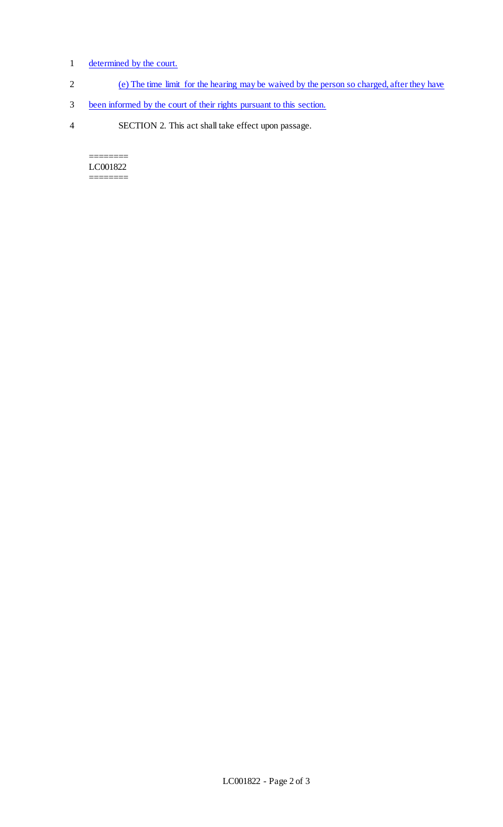### 1 determined by the court.

- 2 (e) The time limit for the hearing may be waived by the person so charged, after they have
- 3 been informed by the court of their rights pursuant to this section.
- 4 SECTION 2. This act shall take effect upon passage.

======== LC001822  $\begin{tabular}{ll} \multicolumn{2}{l} {\multicolumn{2}{l}{} & \multicolumn{2}{l}{\multicolumn{2}{l}{\multicolumn{2}{l}{\multicolumn{2}{l}{\multicolumn{2}{l}{\multicolumn{2}{l}{\multicolumn{2}{l}{\multicolumn{2}{l}{\multicolumn{2}{l}{\multicolumn{2}{l}{\multicolumn{2}{l}{\text{}}}}}}}} \end{tabular} \end{tabular}$